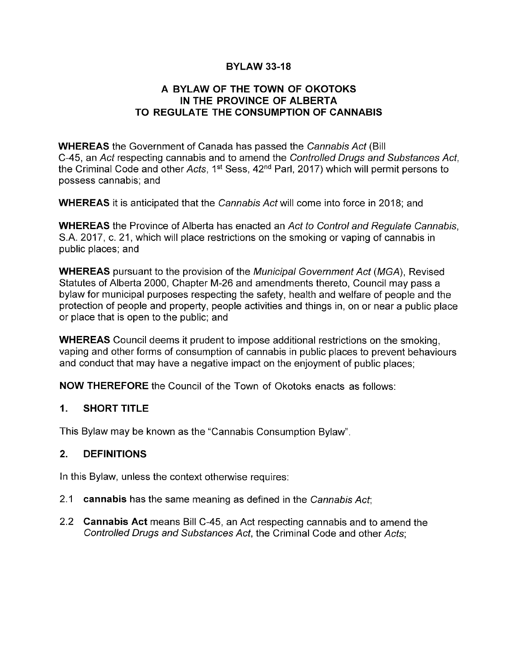### **BYLAW 33-18**

### A BYLAW OF THE TOWN OF OKOTOKS IN THE PROVINCE OF ALBERTA TO REGULATE THE CONSUMPTION OF CANNABIS

WHEREAS the Government of Canada has passed the Cannabis Act (Bill C-45, an Act respecting cannabis and to amend the Controlled Drugs and Substances Act, the Criminal Code and other Acts, 1st Sess, 42nd Parl, 2017) which will permit persons to possess cannabis; and

WHEREAS it is anticipated that the Cannabis Act will come into force in 2018; and

WHEREAS the Province of Alberta has enacted an Act to Control and Regulate Cannabis, S.A. 2017, c. 21, which will place restrictions on the smoking or vaping of cannabis in public places; and

WHEREAS pursuant to the provision of the Municipal Government Act (MGA), Revised Statutes of Alberta 2000, Chapter M-26 and amendments thereto, Council may pass a bylaw for municipal purposes respecting the safety, health and welfare of people and the protection of people and property, people activities and things in, on or near a public place or place that is open to the public; and

WHEREAS Council deems it prudent to impose additional restrictions on the smoking, vaping and other forms of consumption of cannabis in public places to prevent behaviours and conduct that may have a negative impact on the enjoyment of public places;

NOW THEREFORE the Council of the Town of Okotoks enacts as follows:

### 1. SHORT TITLE

This Bylaw may be known as the "Cannabis Consumption Bylaw".

### 2. DEFINITIONS

In this Bylaw, unless the context otherwise requires:

- 2.1 cannabis has the same meaning as defined in the Cannabis Act;
- 2.2 Cannabis Act means Bill C-45, an Act respecting cannabis and to amend the Controlled Drugs and Substances Act, the Criminal Code and other Acts;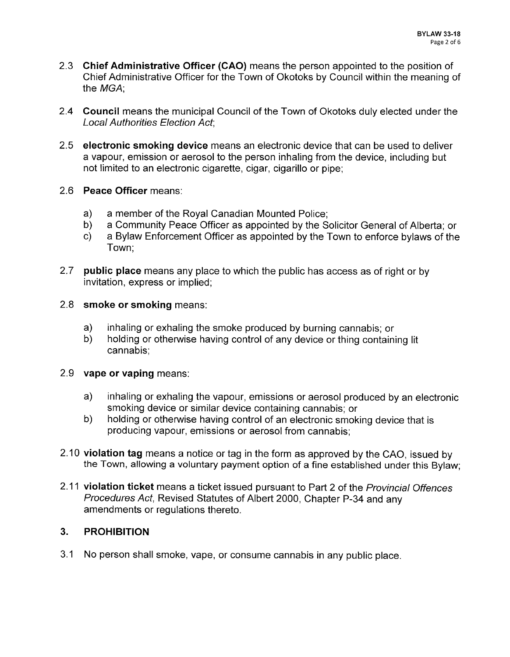- 2.3 Chief Administrative Officer (CAO) means the person appointed to the position of Chief Administrative Officer for the Town of Okotoks by Council within the meaning of the MGA;
- 2.4 Council means the municipal Council of the Town of Okotoks duly elected under the Local Authorities Election Act;
- 2.5 electronic smoking device means an electronic device that can be used to deliver a vapour, emission or aerosol to the person inhaling from the device, including but not limited to an electronic cigarette, cigar, cigarillo or pipe;
- 2.6 Peace Officer means:
	- a) a member of the Royal Canadian Mounted Police;
	- b) a Community Peace Officer as appointed by the Solicitor General of Alberta; or<br>c) a Bylaw Enforcement Officer as appointed by the Town to enforce bylaws of the
	- a Bylaw Enforcement Officer as appointed by the Town to enforce bylaws of the Town;
- 2.7 **public place** means any place to which the public has access as of right or by invitation, express or implied;
- 2.8 **smoke or smoking** means:
	- a) inhaling or exhaling the smoke produced by burning cannabis; or b) holding or otherwise having control of any device or thing contain
	- b) holding or otherwise having control of any device or thing containing lit cannabis;

### 2.9 vape or vaping means:

- a) inhaling or exhaling the vapour, emissions or aerosol produced by an electronic smoking device or similar device containing cannabis; or
- b) holding or otherwise having control of an electronic smoking device that is producing vapour, emissions or aerosol from cannabis;
- 2. 10 violation tag means a notice or tag in the form as approved by the CAO, issued by the Town, allowing a voluntary payment option of a fine established under this Bylaw;
- 2.11 violation ticket means a ticket issued pursuant to Part 2 of the Provincial Offences Procedures Act, Revised Statutes of Albert 2000, Chapter P-34 and any amendments or regulations thereto.

## 3. PROHIBITION

3. <sup>1</sup> No person shall smoke, vape, or consume cannabis in any public place.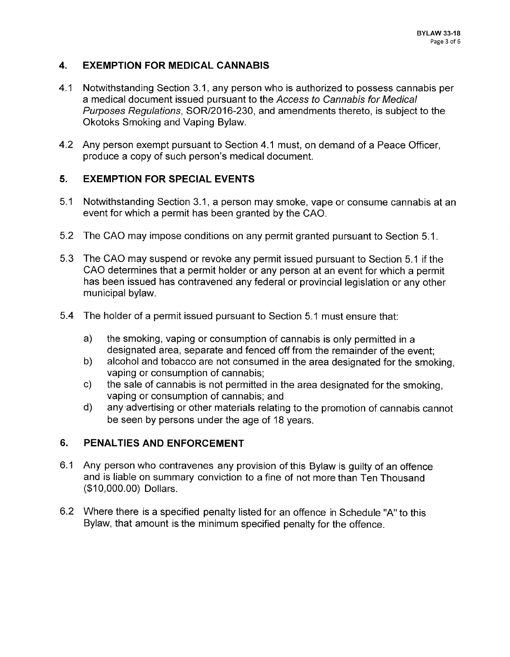## 4. EXEMPTION FOR MEDICAL CANNABIS

- 4.1 Notwithstanding Section 3.1, any person who is authorized to possess cannabis per a medical document issued pursuant to the Access to Cannabis for Medical Purposes Regulations, SOR/2016-230, and amendments thereto, is subject to the Okotoks Smoking and Vaping Bylaw.
- 4.2 Any person exempt pursuant to Section 4.1 must, on demand of a Peace Officer, produce a copy of such person's medical document.

# 5. EXEMPTION FOR SPECIAL EVENTS

- 5. <sup>1</sup> Notwithstanding Section 3. 1, a person may smoke, vape or consume cannabis at an event for which a permit has been granted by the CAO.
- 5.2 The CAO may impose conditions on any permit granted pursuant to Section 5.1.
- 5. 3 The CAO may suspend or revoke any permit issued pursuant to Section 5. <sup>1</sup> if the CAO determines that a permit holder or any person at an event for which a permit has been issued has contravened any federal or provincial legislation or any other municipal bylaw.
- 5. 4 The holder of a permit issued pursuant to Section 5. <sup>1</sup> must ensure that:
	- a) the smoking, vaping or consumption of cannabis is only permitted in <sup>a</sup> designated area, separate and fenced off from the remainder of the event;
	- b) alcohol and tobacco are not consumed in the area designated for the smoking, vaping or consumption of cannabis;
	- c) the sale of cannabis is not permitted in the area designated for the smoking, vaping or consumption of cannabis; and
	- d) any. advertising or other materials relating to the promotion of cannabis cannot be seen by persons under the age of 18 years.

## 6. PENALTIES AND ENFORCEMENT

- 6. <sup>1</sup> Any person who contravenes any provision of this Bylaw is guilty of an offence and is liable on summary conviction to a fine of not more than Ten Thousand 10, 000. 00) Dollars.
- 6.2 Where there is a specified penalty listed for an offence in Schedule "A" to this Bylaw, that amount is the minimum specified penalty for the offence.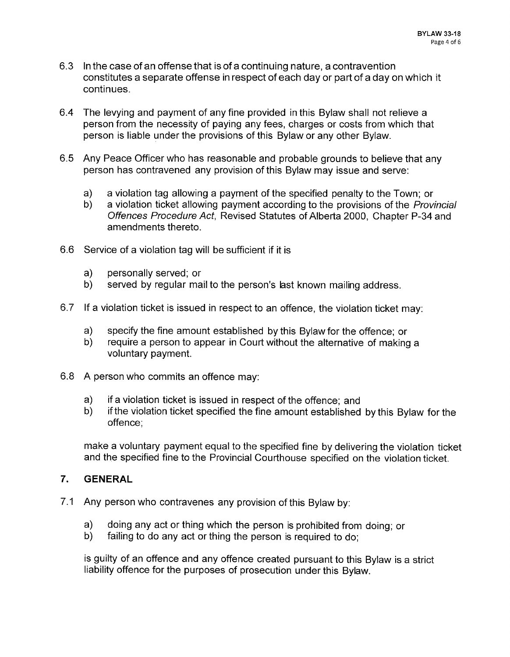- 6. 3 In the case of an offense that is of a continuing nature, a contravention constitutes a separate offense in respect of each day or part of a day on which it continues.
- 6. 4 The levying and payment of any fine provided in this Bylaw shall not relieve a person from the necessity of paying any fees, charges or costs from which that person is liable under the provisions of this Bylaw or any other Bylaw.
- 6. <sup>5</sup> Any Peace Officer who has reasonable and probable grounds to believe that any person has contravened any provision of this Bylaw may issue and serve:
	- a) a violation tag allowing a payment of the specified penalty to the Town; or b) a violation ticket allowing payment according to the provisions of the *Prov*
	- a violation ticket allowing payment according to the provisions of the Provincial Offences Procedure Act, Revised Statutes of Alberta 2000, Chapter P-34 and amendments thereto.
- 6. 6 Service of a violation tag will be sufficient if it is
	- a) personally served; or<br>b) served by regular ma
	- served by regular mail to the person's last known mailing address.
- 6. 7 If a violation ticket is issued in respect to an offence, the violation ticket may:
	- a) specify the fine amount established by this Bylaw for the offence; or b) require a person to appear in Court without the alternative of making
	- require a person to appear in Court without the alternative of making a voluntary payment.
- 6.8 A person who commits an offence may:
	- a) if a violation ticket is issued in respect of the offence; and
	- b) if the violation ticket specified the fine amount established by this Bylaw for the offence;

make a voluntary payment equal to the specified fine by delivering the violation ticket and the specified fine to the Provincial Courthouse specified on the violation ticket.

### 7. GENERAL

- 7.1 Any person who contravenes any provision of this Bylaw by:
	- a) doing any act or thing which the person is prohibited from doing; or b) failing to do any act or thing the person is required to do:
	- failing to do any act or thing the person is required to do:

is guilty of an offence and any offence created pursuant to this Bylaw is a strict liability offence for the purposes of prosecution under this Bylaw.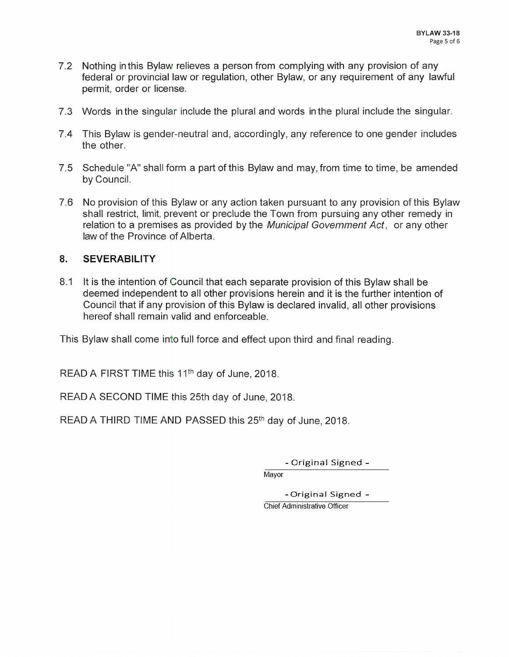- 7.2 Nothing in this Bylaw relieves a person from complying with any provision of any federal or provincial law or regulation, other Bylaw, or any requirement of any lawful permit, order or license.
- 7. 3 Words in the singular include the plural and words in the plural include the singular.
- 7. 4 This Bylaw is gender-neutral and, accordingly, any reference to one gender includes the other.
- 7. 5 Schedule "A" shall form a part of this Bylaw and may, from time to time, be amended by Council.
- 7. 6 No provision of this Bylaw or any action taken pursuant to any provision of this Bylaw shall restrict, limit, prevent or preclude the Town from pursuing any other remedy in relation to <sup>a</sup> premises as provided by the Municipal Government Act, or any other law of the Province of Alberta.

#### 8. SEVERABILITY

8.1 It is the intention of Council that each separate provision of this Bylaw shall be deemed independent to all other provisions herein and it is the further intention of Council that if any provision of this Bylaw is declared invalid, all other provisions hereof shall remain valid and enforceable.

This Bylaw shall come into full force and effect upon third and final reading.

READ A FIRST TIME this 11th day of June, 2018.

READ A SECOND TIME this 25th day of June, 2018.

READ A THIRD TIME AND PASSED this 25<sup>th</sup> day of June, 2018.

- Original Signed -

Mayor

- Original Signed -

Chief Administrative Officer